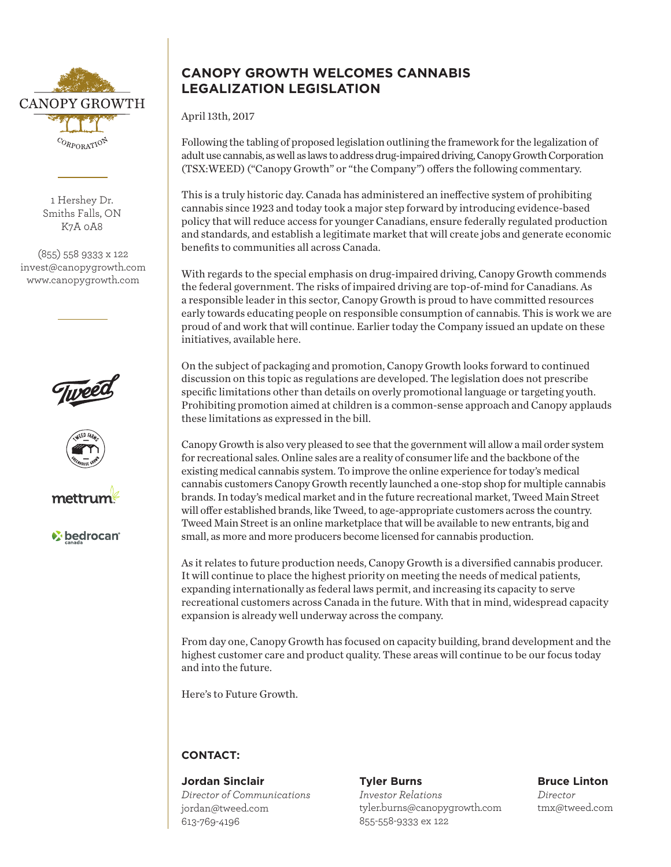

1 Hershey Dr. Smiths Falls, ON K7A 0A8

(855) 558 9333 x 122 invest@canopygrowth.com www.canopygrowth.com







*V* bedrocan

# **CANOPY GROWTH WELCOMES CANNABIS LEGALIZATION LEGISLATION**

April 13th, 2017

Following the tabling of proposed legislation outlining the framework for the legalization of adult use cannabis, as well as laws to address drug-impaired driving, Canopy Growth Corporation (TSX:WEED) ("Canopy Growth" or "the Company") offers the following commentary.

This is a truly historic day. Canada has administered an ineffective system of prohibiting cannabis since 1923 and today took a major step forward by introducing evidence-based policy that will reduce access for younger Canadians, ensure federally regulated production and standards, and establish a legitimate market that will create jobs and generate economic benefits to communities all across Canada.

With regards to the special emphasis on drug-impaired driving, Canopy Growth commends the federal government. The risks of impaired driving are top-of-mind for Canadians. As a responsible leader in this sector, Canopy Growth is proud to have committed resources early towards educating people on responsible consumption of cannabis. This is work we are proud of and work that will continue. Earlier today the Company issued an update on these initiatives, available here.

On the subject of packaging and promotion, Canopy Growth looks forward to continued discussion on this topic as regulations are developed. The legislation does not prescribe specific limitations other than details on overly promotional language or targeting youth. Prohibiting promotion aimed at children is a common-sense approach and Canopy applauds these limitations as expressed in the bill.

Canopy Growth is also very pleased to see that the government will allow a mail order system for recreational sales. Online sales are a reality of consumer life and the backbone of the existing medical cannabis system. To improve the online experience for today's medical cannabis customers Canopy Growth recently launched a one-stop shop for multiple cannabis brands. In today's medical market and in the future recreational market, Tweed Main Street will offer established brands, like Tweed, to age-appropriate customers across the country. Tweed Main Street is an online marketplace that will be available to new entrants, big and small, as more and more producers become licensed for cannabis production.

As it relates to future production needs, Canopy Growth is a diversified cannabis producer. It will continue to place the highest priority on meeting the needs of medical patients, expanding internationally as federal laws permit, and increasing its capacity to serve recreational customers across Canada in the future. With that in mind, widespread capacity expansion is already well underway across the company.

From day one, Canopy Growth has focused on capacity building, brand development and the highest customer care and product quality. These areas will continue to be our focus today and into the future.

Here's to Future Growth.

## **CONTACT:**

**Jordan Sinclair** *Director of Communications* jordan@tweed.com 613-769-4196

#### **Tyler Burns** *Investor Relations* tyler.burns@canopygrowth.com 855-558-9333 ex 122

**Bruce Linton** *Director* tmx@tweed.com